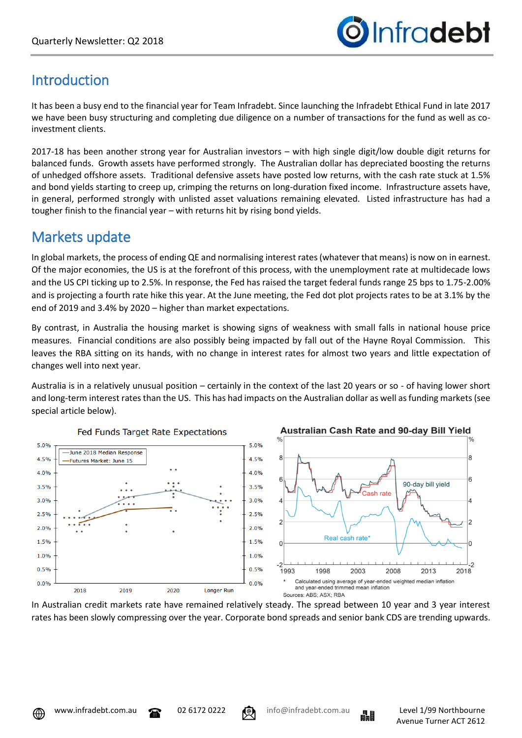

# **Introduction**

It has been a busy end to the financial year for Team Infradebt. Since launching the Infradebt Ethical Fund in late 2017 we have been busy structuring and completing due diligence on a number of transactions for the fund as well as coinvestment clients.

2017-18 has been another strong year for Australian investors – with high single digit/low double digit returns for balanced funds. Growth assets have performed strongly. The Australian dollar has depreciated boosting the returns of unhedged offshore assets. Traditional defensive assets have posted low returns, with the cash rate stuck at 1.5% and bond yields starting to creep up, crimping the returns on long-duration fixed income. Infrastructure assets have, in general, performed strongly with unlisted asset valuations remaining elevated. Listed infrastructure has had a tougher finish to the financial year – with returns hit by rising bond yields.

## Markets update

In global markets, the process of ending QE and normalising interest rates (whatever that means) is now on in earnest. Of the major economies, the US is at the forefront of this process, with the unemployment rate at multidecade lows and the US CPI ticking up to 2.5%. In response, the Fed has raised the target federal funds range 25 bps to 1.75-2.00% and is projecting a fourth rate hike this year. At the June meeting, the Fed dot plot projects rates to be at 3.1% by the end of 2019 and 3.4% by 2020 – higher than market expectations.

By contrast, in Australia the housing market is showing signs of weakness with small falls in national house price measures. Financial conditions are also possibly being impacted by fall out of the Hayne Royal Commission. This leaves the RBA sitting on its hands, with no change in interest rates for almost two years and little expectation of changes well into next year.

Australia is in a relatively unusual position – certainly in the context of the last 20 years or so - of having lower short and long-term interest rates than the US. This has had impacts on the Australian dollar as well as funding markets (see special article below).







In Australian credit markets rate have remained relatively steady. The spread between 10 year and 3 year interest rates has been slowly compressing over the year. Corporate bond spreads and senior bank CDS are trending upwards.



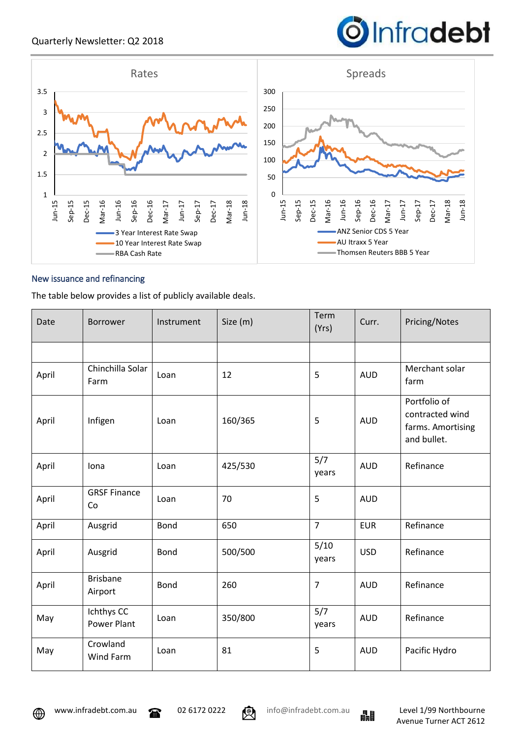



### New issuance and refinancing

The table below provides a list of publicly available deals.

| Date  | <b>Borrower</b>                  | Instrument | Size (m) | Term<br>(Yrs)  | Curr.      | Pricing/Notes                                                       |
|-------|----------------------------------|------------|----------|----------------|------------|---------------------------------------------------------------------|
|       |                                  |            |          |                |            |                                                                     |
| April | Chinchilla Solar<br>Farm         | Loan       | 12       | 5              | <b>AUD</b> | Merchant solar<br>farm                                              |
| April | Infigen                          | Loan       | 160/365  | 5              | <b>AUD</b> | Portfolio of<br>contracted wind<br>farms. Amortising<br>and bullet. |
| April | Iona                             | Loan       | 425/530  | 5/7<br>years   | <b>AUD</b> | Refinance                                                           |
| April | <b>GRSF Finance</b><br>Co        | Loan       | 70       | 5              | <b>AUD</b> |                                                                     |
| April | Ausgrid                          | Bond       | 650      | $\overline{7}$ | <b>EUR</b> | Refinance                                                           |
| April | Ausgrid                          | Bond       | 500/500  | 5/10<br>years  | <b>USD</b> | Refinance                                                           |
| April | <b>Brisbane</b><br>Airport       | Bond       | 260      | $\overline{7}$ | <b>AUD</b> | Refinance                                                           |
| May   | Ichthys CC<br><b>Power Plant</b> | Loan       | 350/800  | 5/7<br>years   | <b>AUD</b> | Refinance                                                           |
| May   | Crowland<br>Wind Farm            | Loan       | 81       | 5              | <b>AUD</b> | Pacific Hydro                                                       |

⊕



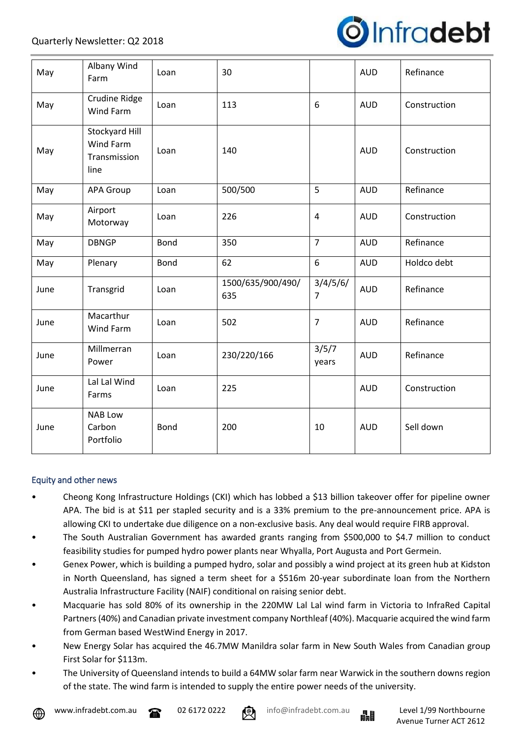

| May  | Albany Wind<br>Farm                                        | Loan | 30                       |                            | <b>AUD</b> | Refinance    |
|------|------------------------------------------------------------|------|--------------------------|----------------------------|------------|--------------|
| May  | Crudine Ridge<br><b>Wind Farm</b>                          | Loan | 113                      | 6                          | <b>AUD</b> | Construction |
| May  | Stockyard Hill<br><b>Wind Farm</b><br>Transmission<br>line | Loan | 140                      |                            | <b>AUD</b> | Construction |
| May  | <b>APA Group</b>                                           | Loan | 500/500                  | 5                          | <b>AUD</b> | Refinance    |
| May  | Airport<br>Motorway                                        | Loan | 226                      | $\overline{4}$             | <b>AUD</b> | Construction |
| May  | <b>DBNGP</b>                                               | Bond | 350                      | $\overline{7}$             | <b>AUD</b> | Refinance    |
| May  | Plenary                                                    | Bond | 62                       | 6                          | <b>AUD</b> | Holdco debt  |
| June | Transgrid                                                  | Loan | 1500/635/900/490/<br>635 | 3/4/5/6/<br>$\overline{7}$ | <b>AUD</b> | Refinance    |
| June | Macarthur<br>Wind Farm                                     | Loan | 502                      | $\overline{7}$             | <b>AUD</b> | Refinance    |
| June | Millmerran<br>Power                                        | Loan | 230/220/166              | 3/5/7<br>years             | <b>AUD</b> | Refinance    |
| June | Lal Lal Wind<br>Farms                                      | Loan | 225                      |                            | <b>AUD</b> | Construction |
| June | <b>NAB Low</b><br>Carbon<br>Portfolio                      | Bond | 200                      | 10                         | <b>AUD</b> | Sell down    |

### Equity and other news

- Cheong Kong Infrastructure Holdings (CKI) which has lobbed a \$13 billion takeover offer for pipeline owner APA. The bid is at \$11 per stapled security and is a 33% premium to the pre-announcement price. APA is allowing CKI to undertake due diligence on a non-exclusive basis. Any deal would require FIRB approval.
- The South Australian Government has awarded grants ranging from \$500,000 to \$4.7 million to conduct feasibility studies for pumped hydro power plants near Whyalla, Port Augusta and Port Germein.
- Genex Power, which is building a pumped hydro, solar and possibly a wind project at its green hub at Kidston in North Queensland, has signed a term sheet for a \$516m 20-year subordinate loan from the Northern Australia Infrastructure Facility (NAIF) conditional on raising senior debt.
- Macquarie has sold 80% of its ownership in the 220MW Lal Lal wind farm in Victoria to InfraRed Capital Partners (40%) and Canadian private investment company Northleaf (40%). Macquarie acquired the wind farm from German based WestWind Energy in 2017.
- New Energy Solar has acquired the 46.7MW Manildra solar farm in New South Wales from Canadian group First Solar for \$113m.
- The University of Queensland intends to build a 64MW solar farm near Warwick in the southern downs region of the state. The wind farm is intended to supply the entire power needs of the university.





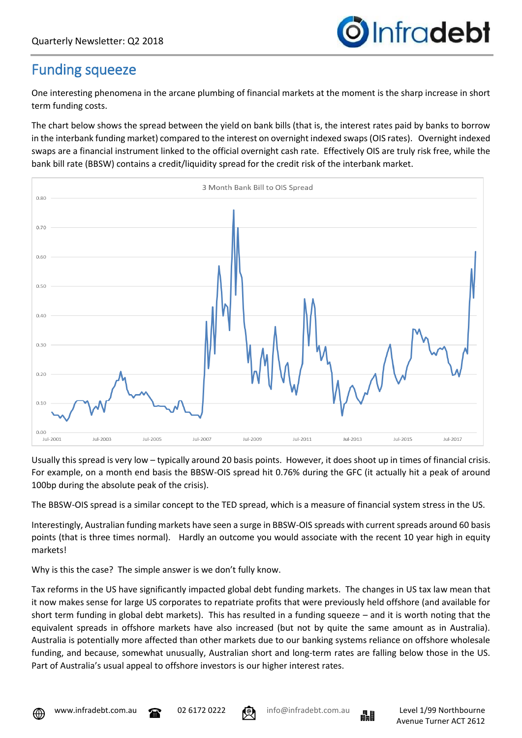

### Funding squeeze

One interesting phenomena in the arcane plumbing of financial markets at the moment is the sharp increase in short term funding costs.

The chart below shows the spread between the yield on bank bills (that is, the interest rates paid by banks to borrow in the interbank funding market) compared to the interest on overnight indexed swaps (OIS rates). Overnight indexed swaps are a financial instrument linked to the official overnight cash rate. Effectively OIS are truly risk free, while the bank bill rate (BBSW) contains a credit/liquidity spread for the credit risk of the interbank market.



Usually this spread is very low – typically around 20 basis points. However, it does shoot up in times of financial crisis. For example, on a month end basis the BBSW-OIS spread hit 0.76% during the GFC (it actually hit a peak of around 100bp during the absolute peak of the crisis).

The BBSW-OIS spread is a similar concept to the TED spread, which is a measure of financial system stress in the US.

Interestingly, Australian funding markets have seen a surge in BBSW-OIS spreads with current spreads around 60 basis points (that is three times normal). Hardly an outcome you would associate with the recent 10 year high in equity markets!

Why is this the case? The simple answer is we don't fully know.

Tax reforms in the US have significantly impacted global debt funding markets. The changes in US tax law mean that it now makes sense for large US corporates to repatriate profits that were previously held offshore (and available for short term funding in global debt markets). This has resulted in a funding squeeze – and it is worth noting that the equivalent spreads in offshore markets have also increased (but not by quite the same amount as in Australia). Australia is potentially more affected than other markets due to our banking systems reliance on offshore wholesale funding, and because, somewhat unusually, Australian short and long-term rates are falling below those in the US. Part of Australia's usual appeal to offshore investors is our higher interest rates.





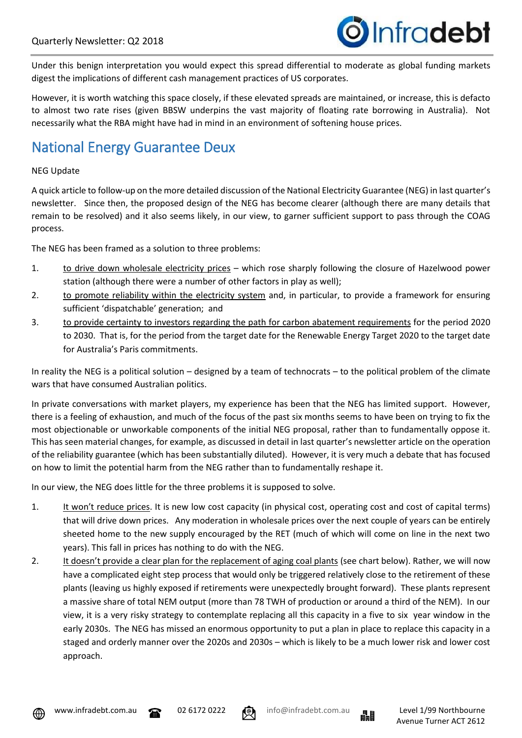

Under this benign interpretation you would expect this spread differential to moderate as global funding markets digest the implications of different cash management practices of US corporates.

However, it is worth watching this space closely, if these elevated spreads are maintained, or increase, this is defacto to almost two rate rises (given BBSW underpins the vast majority of floating rate borrowing in Australia). Not necessarily what the RBA might have had in mind in an environment of softening house prices.

# National Energy Guarantee Deux

#### NEG Update

A quick article to follow-up on the more detailed discussion of the National Electricity Guarantee (NEG) in last quarter's newsletter. Since then, the proposed design of the NEG has become clearer (although there are many details that remain to be resolved) and it also seems likely, in our view, to garner sufficient support to pass through the COAG process.

The NEG has been framed as a solution to three problems:

- 1. to drive down wholesale electricity prices which rose sharply following the closure of Hazelwood power station (although there were a number of other factors in play as well);
- 2. to promote reliability within the electricity system and, in particular, to provide a framework for ensuring sufficient 'dispatchable' generation; and
- 3. to provide certainty to investors regarding the path for carbon abatement requirements for the period 2020 to 2030. That is, for the period from the target date for the Renewable Energy Target 2020 to the target date for Australia's Paris commitments.

In reality the NEG is a political solution – designed by a team of technocrats – to the political problem of the climate wars that have consumed Australian politics.

In private conversations with market players, my experience has been that the NEG has limited support. However, there is a feeling of exhaustion, and much of the focus of the past six months seems to have been on trying to fix the most objectionable or unworkable components of the initial NEG proposal, rather than to fundamentally oppose it. This has seen material changes, for example, as discussed in detail in last quarter's newsletter article on the operation of the reliability guarantee (which has been substantially diluted). However, it is very much a debate that has focused on how to limit the potential harm from the NEG rather than to fundamentally reshape it.

In our view, the NEG does little for the three problems it is supposed to solve.

- 1. It won't reduce prices. It is new low cost capacity (in physical cost, operating cost and cost of capital terms) that will drive down prices. Any moderation in wholesale prices over the next couple of years can be entirely sheeted home to the new supply encouraged by the RET (much of which will come on line in the next two years). This fall in prices has nothing to do with the NEG.
- 2. It doesn't provide a clear plan for the replacement of aging coal plants (see chart below). Rather, we will now have a complicated eight step process that would only be triggered relatively close to the retirement of these plants (leaving us highly exposed if retirements were unexpectedly brought forward). These plants represent a massive share of total NEM output (more than 78 TWH of production or around a third of the NEM). In our view, it is a very risky strategy to contemplate replacing all this capacity in a five to six year window in the early 2030s. The NEG has missed an enormous opportunity to put a plan in place to replace this capacity in a staged and orderly manner over the 2020s and 2030s – which is likely to be a much lower risk and lower cost approach.







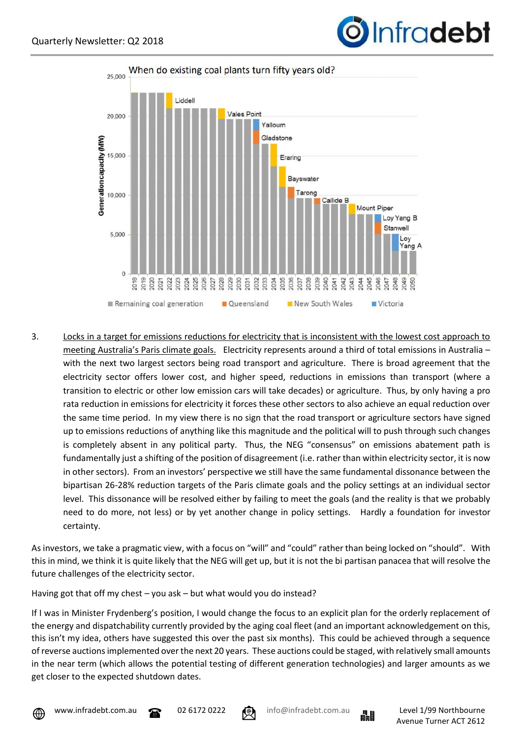



3. Locks in a target for emissions reductions for electricity that is inconsistent with the lowest cost approach to meeting Australia's Paris climate goals. Electricity represents around a third of total emissions in Australia – with the next two largest sectors being road transport and agriculture. There is broad agreement that the electricity sector offers lower cost, and higher speed, reductions in emissions than transport (where a transition to electric or other low emission cars will take decades) or agriculture. Thus, by only having a pro rata reduction in emissions for electricity it forces these other sectors to also achieve an equal reduction over the same time period. In my view there is no sign that the road transport or agriculture sectors have signed up to emissions reductions of anything like this magnitude and the political will to push through such changes is completely absent in any political party. Thus, the NEG "consensus" on emissions abatement path is fundamentally just a shifting of the position of disagreement (i.e. rather than within electricity sector, it is now in other sectors). From an investors' perspective we still have the same fundamental dissonance between the bipartisan 26-28% reduction targets of the Paris climate goals and the policy settings at an individual sector level. This dissonance will be resolved either by failing to meet the goals (and the reality is that we probably need to do more, not less) or by yet another change in policy settings. Hardly a foundation for investor certainty.

As investors, we take a pragmatic view, with a focus on "will" and "could" rather than being locked on "should". With this in mind, we think it is quite likely that the NEG will get up, but it is not the bi partisan panacea that will resolve the future challenges of the electricity sector.

Having got that off my chest – you ask – but what would you do instead?

If I was in Minister Frydenberg's position, I would change the focus to an explicit plan for the orderly replacement of the energy and dispatchability currently provided by the aging coal fleet (and an important acknowledgement on this, this isn't my idea, others have suggested this over the past six months). This could be achieved through a sequence of reverse auctions implemented over the next 20 years. These auctions could be staged, with relatively small amounts in the near term (which allows the potential testing of different generation technologies) and larger amounts as we get closer to the expected shutdown dates.







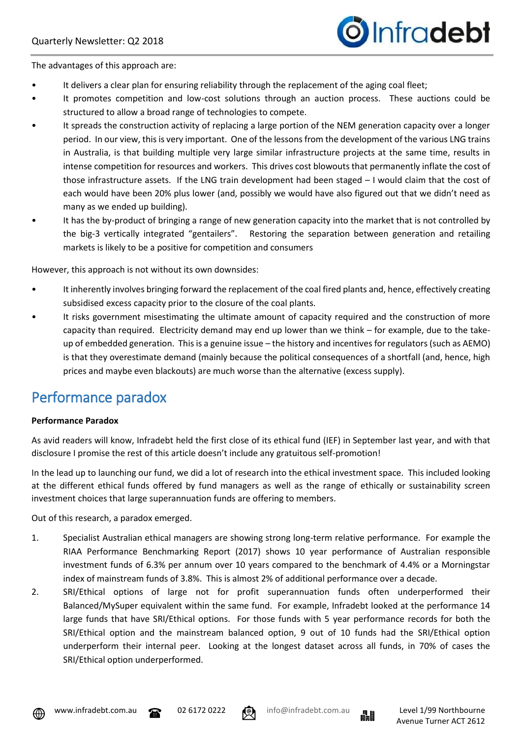

The advantages of this approach are:

- It delivers a clear plan for ensuring reliability through the replacement of the aging coal fleet;
- It promotes competition and low-cost solutions through an auction process. These auctions could be structured to allow a broad range of technologies to compete.
- It spreads the construction activity of replacing a large portion of the NEM generation capacity over a longer period. In our view, this is very important. One of the lessons from the development of the various LNG trains in Australia, is that building multiple very large similar infrastructure projects at the same time, results in intense competition for resources and workers. This drives cost blowouts that permanently inflate the cost of those infrastructure assets. If the LNG train development had been staged – I would claim that the cost of each would have been 20% plus lower (and, possibly we would have also figured out that we didn't need as many as we ended up building).
- It has the by-product of bringing a range of new generation capacity into the market that is not controlled by the big-3 vertically integrated "gentailers". Restoring the separation between generation and retailing markets is likely to be a positive for competition and consumers

However, this approach is not without its own downsides:

- It inherently involves bringing forward the replacement of the coal fired plants and, hence, effectively creating subsidised excess capacity prior to the closure of the coal plants.
- It risks government misestimating the ultimate amount of capacity required and the construction of more capacity than required. Electricity demand may end up lower than we think – for example, due to the takeup of embedded generation. This is a genuine issue – the history and incentives for regulators (such as AEMO) is that they overestimate demand (mainly because the political consequences of a shortfall (and, hence, high prices and maybe even blackouts) are much worse than the alternative (excess supply).

### Performance paradox

#### **Performance Paradox**

As avid readers will know, Infradebt held the first close of its ethical fund (IEF) in September last year, and with that disclosure I promise the rest of this article doesn't include any gratuitous self-promotion!

In the lead up to launching our fund, we did a lot of research into the ethical investment space. This included looking at the different ethical funds offered by fund managers as well as the range of ethically or sustainability screen investment choices that large superannuation funds are offering to members.

Out of this research, a paradox emerged.

- 1. Specialist Australian ethical managers are showing strong long-term relative performance. For example the RIAA Performance Benchmarking Report (2017) shows 10 year performance of Australian responsible investment funds of 6.3% per annum over 10 years compared to the benchmark of 4.4% or a Morningstar index of mainstream funds of 3.8%. This is almost 2% of additional performance over a decade.
- 2. SRI/Ethical options of large not for profit superannuation funds often underperformed their Balanced/MySuper equivalent within the same fund. For example, Infradebt looked at the performance 14 large funds that have SRI/Ethical options. For those funds with 5 year performance records for both the SRI/Ethical option and the mainstream balanced option, 9 out of 10 funds had the SRI/Ethical option underperform their internal peer. Looking at the longest dataset across all funds, in 70% of cases the SRI/Ethical option underperformed.





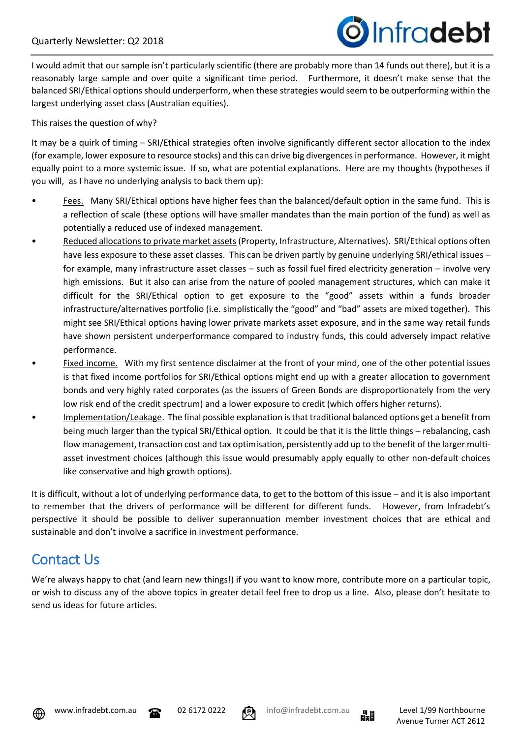

I would admit that our sample isn't particularly scientific (there are probably more than 14 funds out there), but it is a reasonably large sample and over quite a significant time period. Furthermore, it doesn't make sense that the balanced SRI/Ethical options should underperform, when these strategies would seem to be outperforming within the largest underlying asset class (Australian equities).

This raises the question of why?

It may be a quirk of timing – SRI/Ethical strategies often involve significantly different sector allocation to the index (for example, lower exposure to resource stocks) and this can drive big divergences in performance. However, it might equally point to a more systemic issue. If so, what are potential explanations. Here are my thoughts (hypotheses if you will, as I have no underlying analysis to back them up):

- Fees. Many SRI/Ethical options have higher fees than the balanced/default option in the same fund. This is a reflection of scale (these options will have smaller mandates than the main portion of the fund) as well as potentially a reduced use of indexed management.
- Reduced allocations to private market assets(Property, Infrastructure, Alternatives). SRI/Ethical options often have less exposure to these asset classes. This can be driven partly by genuine underlying SRI/ethical issues – for example, many infrastructure asset classes – such as fossil fuel fired electricity generation – involve very high emissions. But it also can arise from the nature of pooled management structures, which can make it difficult for the SRI/Ethical option to get exposure to the "good" assets within a funds broader infrastructure/alternatives portfolio (i.e. simplistically the "good" and "bad" assets are mixed together). This might see SRI/Ethical options having lower private markets asset exposure, and in the same way retail funds have shown persistent underperformance compared to industry funds, this could adversely impact relative performance.
- Fixed income. With my first sentence disclaimer at the front of your mind, one of the other potential issues is that fixed income portfolios for SRI/Ethical options might end up with a greater allocation to government bonds and very highly rated corporates (as the issuers of Green Bonds are disproportionately from the very low risk end of the credit spectrum) and a lower exposure to credit (which offers higher returns).
- Implementation/Leakage. The final possible explanation is that traditional balanced options get a benefit from being much larger than the typical SRI/Ethical option. It could be that it is the little things – rebalancing, cash flow management, transaction cost and tax optimisation, persistently add up to the benefit of the larger multiasset investment choices (although this issue would presumably apply equally to other non-default choices like conservative and high growth options).

It is difficult, without a lot of underlying performance data, to get to the bottom of this issue – and it is also important to remember that the drivers of performance will be different for different funds. However, from Infradebt's perspective it should be possible to deliver superannuation member investment choices that are ethical and sustainable and don't involve a sacrifice in investment performance.

# Contact Us

We're always happy to chat (and learn new things!) if you want to know more, contribute more on a particular topic, or wish to discuss any of the above topics in greater detail feel free to drop us a line. Also, please don't hesitate to send us ideas for future articles.